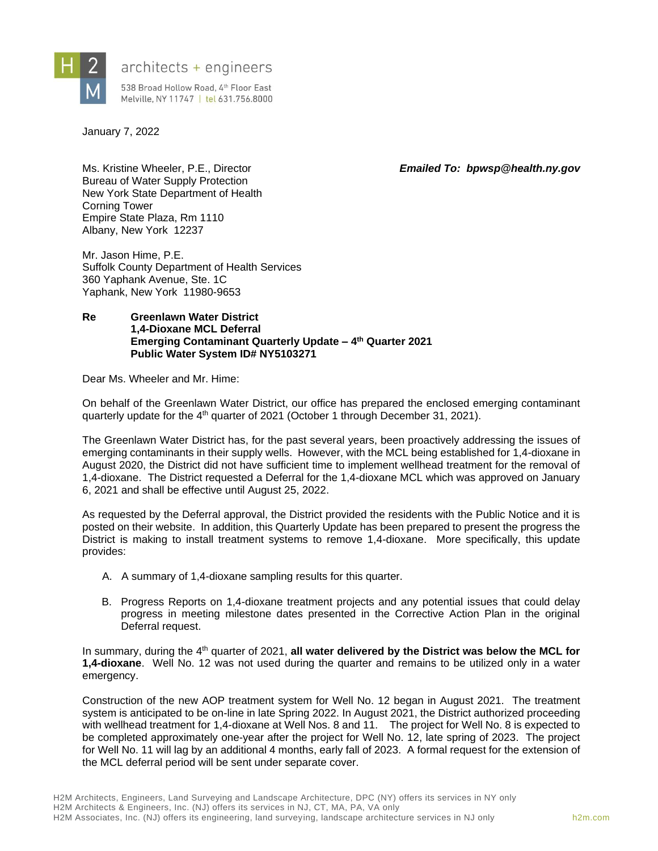

# $architects + engineers$

538 Broad Hollow Road, 4th Floor East Melville, NY 11747 | tel 631.756.8000

January 7, 2022

Ms. Kristine Wheeler, P.E., Director *Emailed To: bpwsp@health.ny.gov*

Bureau of Water Supply Protection New York State Department of Health Corning Tower Empire State Plaza, Rm 1110 Albany, New York 12237

Mr. Jason Hime, P.E. Suffolk County Department of Health Services 360 Yaphank Avenue, Ste. 1C Yaphank, New York 11980-9653

#### **Re Greenlawn Water District 1,4-Dioxane MCL Deferral Emerging Contaminant Quarterly Update – 4 th Quarter 2021 Public Water System ID# NY5103271**

Dear Ms. Wheeler and Mr. Hime:

On behalf of the Greenlawn Water District, our office has prepared the enclosed emerging contaminant quarterly update for the 4<sup>th</sup> quarter of 2021 (October 1 through December 31, 2021).

The Greenlawn Water District has, for the past several years, been proactively addressing the issues of emerging contaminants in their supply wells. However, with the MCL being established for 1,4-dioxane in August 2020, the District did not have sufficient time to implement wellhead treatment for the removal of 1,4-dioxane. The District requested a Deferral for the 1,4-dioxane MCL which was approved on January 6, 2021 and shall be effective until August 25, 2022.

As requested by the Deferral approval, the District provided the residents with the Public Notice and it is posted on their website. In addition, this Quarterly Update has been prepared to present the progress the District is making to install treatment systems to remove 1,4-dioxane. More specifically, this update provides:

- A. A summary of 1,4-dioxane sampling results for this quarter.
- B. Progress Reports on 1,4-dioxane treatment projects and any potential issues that could delay progress in meeting milestone dates presented in the Corrective Action Plan in the original Deferral request.

In summary, during the 4<sup>th</sup> quarter of 2021, all water delivered by the District was below the MCL for **1,4-dioxane**. Well No. 12 was not used during the quarter and remains to be utilized only in a water emergency.

Construction of the new AOP treatment system for Well No. 12 began in August 2021. The treatment system is anticipated to be on-line in late Spring 2022. In August 2021, the District authorized proceeding with wellhead treatment for 1,4-dioxane at Well Nos. 8 and 11. The project for Well No. 8 is expected to be completed approximately one-year after the project for Well No. 12, late spring of 2023. The project for Well No. 11 will lag by an additional 4 months, early fall of 2023. A formal request for the extension of the MCL deferral period will be sent under separate cover.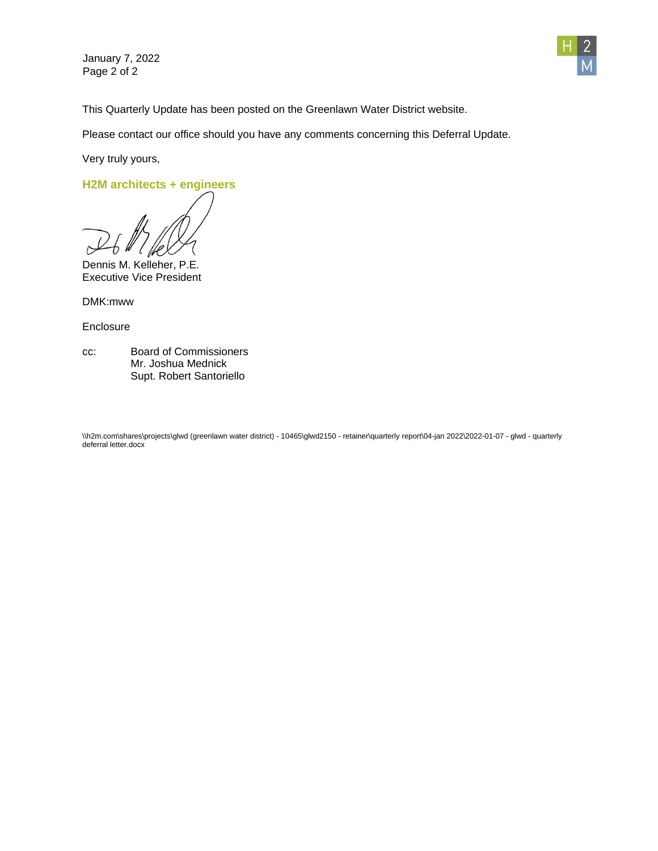January 7, 2022 Page 2 of 2



This Quarterly Update has been posted on the Greenlawn Water District website.

Please contact our office should you have any comments concerning this Deferral Update.

Very truly yours,

**H2M architects + engineers**

Dennis M. Kelleher, P.E. Executive Vice President

DMK:mww

**Enclosure** 

cc: Board of Commissioners Mr. Joshua Mednick Supt. Robert Santoriello

\\h2m.com\shares\projects\glwd (greenlawn water district) - 10465\glwd2150 - retainer\quarterly report\04-jan 2022\2022-01-07 - glwd - quarterly deferral letter.docx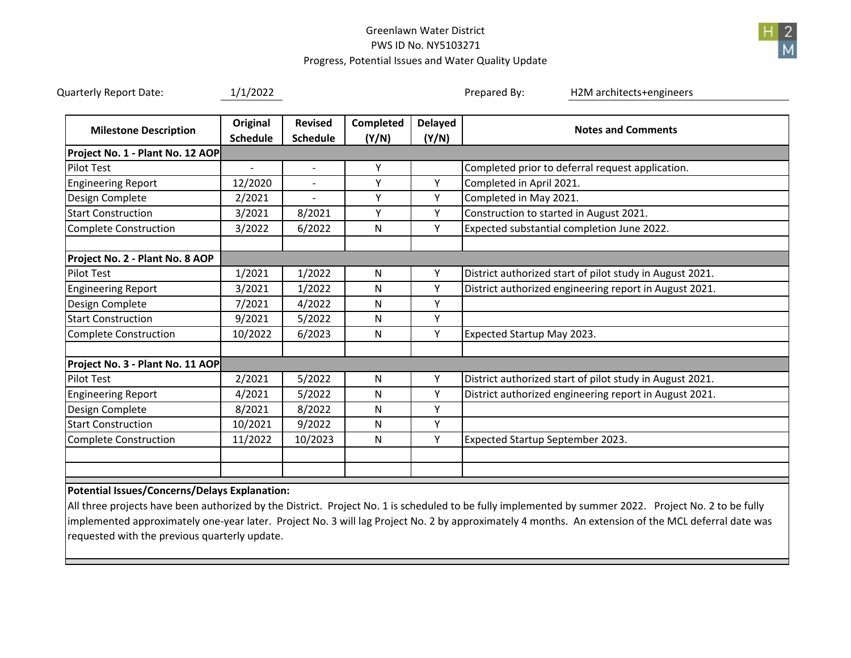## Greenlawn Water DistrictPWS ID No. NY5103271Progress, Potential Issues and Water Quality Update



#### **Potential Issues/Concerns/Delays Explanation:**

All three projects have been authorized by the District. Project No. 1 is scheduled to be fully implemented by summer 2022. Project No. 2 to be fully implemented approximately one‐year later. Project No. 3 will lag Project No. 2 by approximately 4 months. An extension of the MCL deferral date was requested with the previous quarterly update.